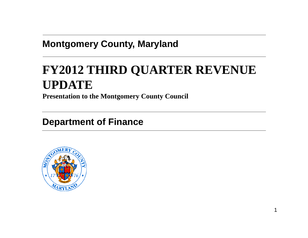### **Montgomery County, Maryland**

# **FY2012 THIRD QUARTER REVENUE UPDATE**

**Presentation to the Montgomery County Council**

**Department of Finance**

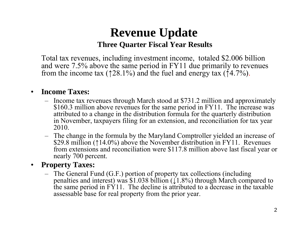## **Revenue Update Three Quarter Fiscal Year Results**

Total tax revenues, including investment income, totaled \$2.006 billion and were 7.5% above the same period in FY11 due primarily to revenues from the income tax ( $\uparrow$  28.1%) and the fuel and energy tax ( $\uparrow$  4.7%).

#### •**Income Taxes:**

- Income tax revenues through March stood at \$731.2 million and approximately \$160.3 million above revenues for the same period in FY11. The increase was attributed to a change in the distribution formula for the quarterly distribution in November, taxpayers filing for an extension, and reconciliation for tax year 2010.
- The change in the formula by the Maryland Comptroller yielded an increase of \$29.8 million (↑14.0%) above the November distribution in FY11. Revenues from extensions and reconciliation were \$117.8 million above last fiscal year or nearly 700 percent.

#### $\bullet$ **Propert Ta es: Property Taxes:**

– The General Fund (G.F.) portion of property tax collections (including penalties and interest) was  $$1.038$  billion ( $\downarrow$ 1.8%) through March compared to the same period in  $F\dot{Y}11$ . The decline is attributed to a decrease in the taxable assessable base for real property from the prior year.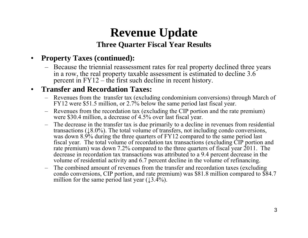# **Revenue Update Three Quarter Fiscal Year Results Year**

#### $\bullet$ **Property Taxes (continued):**

– Because the triennial reassessment rates for real property declined three years in a row, the real property taxable assessment is estimated to decline  $3.6$ percent in FY12 – the first such decline in recent history.

#### $\bullet$ **Transfer and Recordation Taxes:**

- Revenues from the transfer tax (excluding condominium conversions) through March of  $FY12$  were \$51.5 million, or 2.7% below the same period last fiscal year.
- Revenues from the recordation tax (excluding the CIP portion and the rate premium) were \$30.4 million, a decrease of 4.5% over last fiscal year.
- The decrease in the transfer tax is due primarily to a decline in revenues from residential transactions (↓8.0%). The total volume of transfers, not including condo conversions, was down 8.9% during the three quarters of FY12 compared to the same period last fiscal year. The total volume of recordation tax transactions (excluding CIP portion and rate premium) was down 7.2% compared to the three quarters of fiscal year 2011. The decrease in recordation tax transactions was attributed to a 9.4 percent decrease in the volume of residential activity and 6.7 percent decline in the volume of refinancing.
- The combined amount of revenues from the transfer and recordation taxes (excluding condo conversions, CIP portion, and rate premium) was \$81.8 million compared to \$84.7 million for the same period last year  $(13.4\%)$ .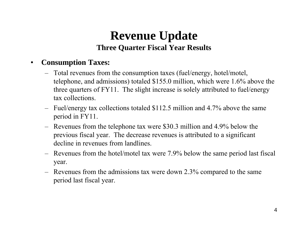## **Revenue Update Three Quarter Fiscal Year Results**

#### $\bullet$ **Consumption Taxes:**

- Total revenues from the consumption taxes (fuel/energy, hotel/motel, telephone, and admissions) totaled \$155.0 million, which were 1.6% above the three quarters of FY11. The slight increase is solely attributed to fuel/energy tax collections.
- Fuel/energy tax collections totaled \$112.5 million and 4.7% above the same period in FY11.
- Revenues from the telephone tax were \$30.3 million and 4.9% below the previous fiscal year. The decrease revenues is attributed to a significant decline in revenues from landlines.
- Revenues from the hotel/motel tax were 7.9% below the same period last fiscal year.
- Revenues from the admissions tax were down 2.3% compared to the same period last fiscal year.